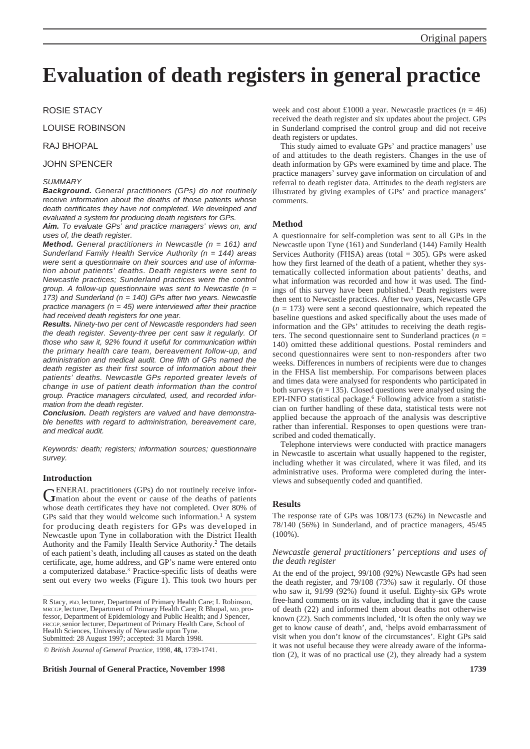# **Evaluation of death registers in general practice**

ROSIE STACY

LOUISE ROBINSON

# RAJ BHOPAL

# JOHN SPENCER

#### *SUMMARY*

*Background. General practitioners (GPs) do not routinely receive information about the deaths of those patients whose death certificates they have not completed. We developed and evaluated a system for producing death registers for GPs.*

*Aim. To evaluate GPs' and practice managers' views on, and uses of, the death register.*

*Method. General practitioners in Newcastle (n = 161) and Sunderland Family Health Service Authority (n = 144) areas were sent a questionnaire on their sources and use of information about patients' deaths. Death registers were sent to Newcastle practices; Sunderland practices were the control group. A follow-up questionnaire was sent to Newcastle (n = 173) and Sunderland (n = 140) GPs after two years. Newcastle practice managers (n = 45) were interviewed after their practice had received death registers for one year.*

*Results. Ninety-two per cent of Newcastle responders had seen the death register. Seventy-three per cent saw it regularly. Of those who saw it, 92% found it useful for communication within the primary health care team, bereavement follow-up, and administration and medical audit. One fifth of GPs named the death register as their first source of information about their patients' deaths. Newcastle GPs reported greater levels of change in use of patient death information than the control group. Practice managers circulated, used, and recorded information from the death register.*

*Conclusion. Death registers are valued and have demonstrable benefits with regard to administration, bereavement care, and medical audit.*

*Keywords: death; registers; information sources; questionnaire survey.*

## **Introduction**

GENERAL practitioners (GPs) do not routinely receive infor-<br>
Imation about the event or cause of the deaths of patients whose death certificates they have not completed. Over 80% of GPs said that they would welcome such information.<sup>1</sup> A system for producing death registers for GPs was developed in Newcastle upon Tyne in collaboration with the District Health Authority and the Family Health Service Authority.2 The details of each patient's death, including all causes as stated on the death certificate, age, home address, and GP's name were entered onto a computerized database.3 Practice-specific lists of deaths were sent out every two weeks (Figure 1). This took two hours per

R Stacy, PhD, lecturer, Department of Primary Health Care; L Robinson, MRCGP, lecturer, Department of Primary Health Care; R Bhopal, MD, professor, Department of Epidemiology and Public Health; and J Spencer, FRCGP, senior lecturer, Department of Primary Health Care, School of Health Sciences, University of Newcastle upon Tyne. Submitted: 28 August 1997; accepted: 31 March 1998.

© *British Journal of General Practice,* 1998, **48,** 1739-1741.

**British Journal of General Practice, November 1998 1739**

week and cost about £1000 a year. Newcastle practices  $(n = 46)$ received the death register and six updates about the project. GPs in Sunderland comprised the control group and did not receive death registers or updates.

This study aimed to evaluate GPs' and practice managers' use of and attitudes to the death registers. Changes in the use of death information by GPs were examined by time and place. The practice managers' survey gave information on circulation of and referral to death register data. Attitudes to the death registers are illustrated by giving examples of GPs' and practice managers' comments.

#### **Method**

A questionnaire for self-completion was sent to all GPs in the Newcastle upon Tyne (161) and Sunderland (144) Family Health Services Authority (FHSA) areas (total = 305). GPs were asked how they first learned of the death of a patient, whether they systematically collected information about patients' deaths, and what information was recorded and how it was used. The findings of this survey have been published.<sup>1</sup> Death registers were then sent to Newcastle practices. After two years, Newcastle GPs  $(n = 173)$  were sent a second questionnaire, which repeated the baseline questions and asked specifically about the uses made of information and the GPs' attitudes to receiving the death registers. The second questionnaire sent to Sunderland practices  $(n =$ 140) omitted these additional questions. Postal reminders and second questionnaires were sent to non-responders after two weeks. Differences in numbers of recipients were due to changes in the FHSA list membership. For comparisons between places and times data were analysed for respondents who participated in both surveys ( $n = 135$ ). Closed questions were analysed using the EPI-INFO statistical package.<sup>6</sup> Following advice from a statistician on further handling of these data, statistical tests were not applied because the approach of the analysis was descriptive rather than inferential. Responses to open questions were transcribed and coded thematically.

Telephone interviews were conducted with practice managers in Newcastle to ascertain what usually happened to the register, including whether it was circulated, where it was filed, and its administrative uses. Proforma were completed during the interviews and subsequently coded and quantified.

## **Results**

The response rate of GPs was 108/173 (62%) in Newcastle and 78/140 (56%) in Sunderland, and of practice managers, 45/45 (100%).

#### *Newcastle general practitioners' perceptions and uses of the death register*

At the end of the project, 99/108 (92%) Newcastle GPs had seen the death register, and 79/108 (73%) saw it regularly. Of those who saw it, 91/99 (92%) found it useful. Eighty-six GPs wrote free-hand comments on its value, including that it gave the cause of death (22) and informed them about deaths not otherwise known (22). Such comments included, 'It is often the only way we get to know cause of death', and, 'helps avoid embarrassment of visit when you don't know of the circumstances'. Eight GPs said it was not useful because they were already aware of the information (2), it was of no practical use (2), they already had a system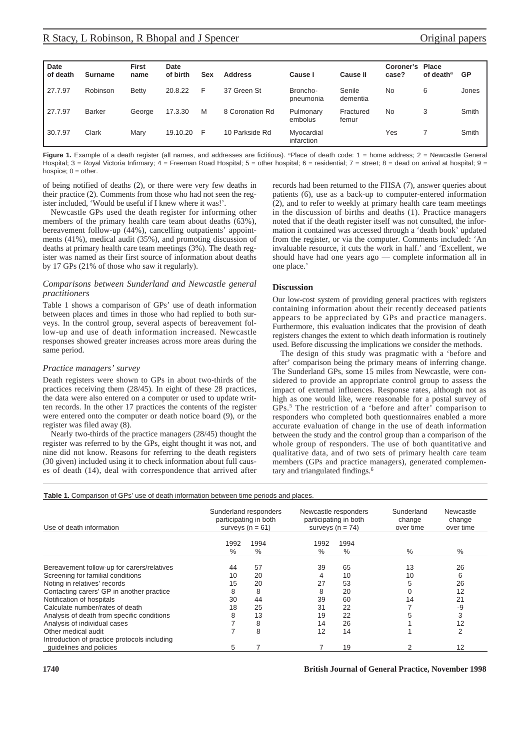| <b>Date</b> |                | <b>First</b> | Date     |     |                 |                          |                    | <b>Coroner's Place</b> |                       |           |
|-------------|----------------|--------------|----------|-----|-----------------|--------------------------|--------------------|------------------------|-----------------------|-----------|
| of death    | <b>Surname</b> | name         | of birth | Sex | <b>Address</b>  | Cause I                  | Cause II           | case?                  | of death <sup>a</sup> | <b>GP</b> |
| 27.7.97     | Robinson       | <b>Betty</b> | 20.8.22  | F   | 37 Green St     | Broncho-<br>pneumonia    | Senile<br>dementia | No                     | 6                     | Jones     |
| 27.7.97     | <b>Barker</b>  | George       | 17.3.30  | M   | 8 Coronation Rd | Pulmonary<br>embolus     | Fractured<br>femur | No                     | 3                     | Smith     |
| 30.7.97     | Clark          | Mary         | 19.10.20 | F   | 10 Parkside Rd  | Myocardial<br>infarction |                    | Yes                    |                       | Smith     |

**Figure 1.** Example of a death register (all names, and addresses are fictitious). <sup>a</sup>Place of death code: 1 = home address: 2 = Newcastle General Hospital; 3 = Royal Victoria Infirmary; 4 = Freeman Road Hospital; 5 = other hospital; 6 = residential; 7 = street; 8 = dead on arrival at hospital; 9 = hospice;  $0 =$  other.

of being notified of deaths (2), or there were very few deaths in their practice (2). Comments from those who had not seen the register included, 'Would be useful if I knew where it was!'.

Newcastle GPs used the death register for informing other members of the primary health care team about deaths (63%), bereavement follow-up (44%), cancelling outpatients' appointments (41%), medical audit (35%), and promoting discussion of deaths at primary health care team meetings (3%). The death register was named as their first source of information about deaths by 17 GPs (21% of those who saw it regularly).

#### *Comparisons between Sunderland and Newcastle general practitioners*

Table 1 shows a comparison of GPs' use of death information between places and times in those who had replied to both surveys. In the control group, several aspects of bereavement follow-up and use of death information increased. Newcastle responses showed greater increases across more areas during the same period.

#### *Practice managers' survey*

Death registers were shown to GPs in about two-thirds of the practices receiving them (28/45). In eight of these 28 practices, the data were also entered on a computer or used to update written records. In the other 17 practices the contents of the register were entered onto the computer or death notice board (9), or the register was filed away (8).

Nearly two-thirds of the practice managers (28/45) thought the register was referred to by the GPs, eight thought it was not, and nine did not know. Reasons for referring to the death registers (30 given) included using it to check information about full causes of death (14), deal with correspondence that arrived after records had been returned to the FHSA (7), answer queries about patients (6), use as a back-up to computer-entered information (2), and to refer to weekly at primary health care team meetings in the discussion of births and deaths (1). Practice managers noted that if the death register itself was not consulted, the information it contained was accessed through a 'death book' updated from the register, or via the computer. Comments included: 'An invaluable resource, it cuts the work in half.' and 'Excellent, we should have had one years ago — complete information all in one place.'

## **Discussion**

Our low-cost system of providing general practices with registers containing information about their recently deceased patients appears to be appreciated by GPs and practice managers. Furthermore, this evaluation indicates that the provision of death registers changes the extent to which death information is routinely used. Before discussing the implications we consider the methods.

The design of this study was pragmatic with a 'before and after' comparison being the primary means of inferring change. The Sunderland GPs, some 15 miles from Newcastle, were considered to provide an appropriate control group to assess the impact of external influences. Response rates, although not as high as one would like, were reasonable for a postal survey of GPs.5 The restriction of a 'before and after' comparison to responders who completed both questionnaires enabled a more accurate evaluation of change in the use of death information between the study and the control group than a comparison of the whole group of responders. The use of both quantitative and qualitative data, and of two sets of primary health care team members (GPs and practice managers), generated complementary and triangulated findings.<sup>6</sup>

**Table 1.** Comparison of GPs' use of death information between time periods and places.

| Use of death information                     |              | Sunderland responders<br>participating in both<br>surveys $(n = 61)$ | Newcastle responders<br>participating in both<br>surveys $(n = 74)$ |              | Sunderland<br>change<br>over time | Newcastle<br>change<br>over time |  |
|----------------------------------------------|--------------|----------------------------------------------------------------------|---------------------------------------------------------------------|--------------|-----------------------------------|----------------------------------|--|
|                                              | 1992<br>$\%$ | 1994<br>$\%$                                                         | 1992<br>$\%$                                                        | 1994<br>$\%$ | $\%$                              | $\%$                             |  |
| Bereavement follow-up for carers/relatives   | 44           | 57                                                                   | 39                                                                  | 65           | 13                                | 26                               |  |
| Screening for familial conditions            | 10           | 20                                                                   | 4                                                                   | 10           | 10                                | 6                                |  |
| Noting in relatives' records                 | 15           | 20                                                                   | 27                                                                  | 53           |                                   | 26                               |  |
| Contacting carers' GP in another practice    | 8            | 8                                                                    | 8                                                                   | 20           |                                   | 12                               |  |
| Notification of hospitals                    | 30           | 44                                                                   | 39                                                                  | 60           | 14                                | 21                               |  |
| Calculate number/rates of death              | 18           | 25                                                                   | 31                                                                  | 22           |                                   | -9                               |  |
| Analysis of death from specific conditions   | 8            | 13                                                                   | 19                                                                  | 22           |                                   | 3                                |  |
| Analysis of individual cases                 |              | 8                                                                    | 14                                                                  | 26           |                                   | 12                               |  |
| Other medical audit                          |              | 8                                                                    | 12                                                                  | 14           |                                   | 2                                |  |
| Introduction of practice protocols including |              |                                                                      |                                                                     |              |                                   |                                  |  |
| quidelines and policies                      | 5            |                                                                      |                                                                     | 19           |                                   | 12                               |  |

**1740 British Journal of General Practice, November 1998**